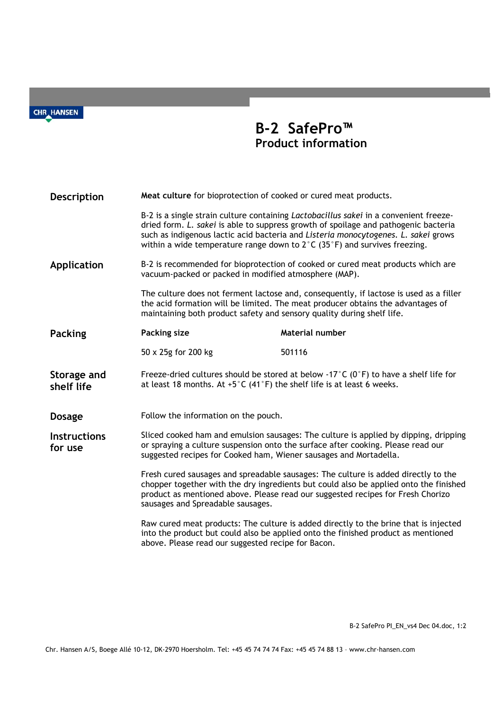**CHR\_HANSEN** 

## **B-2 SafePro™ Product information**

| Description                    | Meat culture for bioprotection of cooked or cured meat products.<br>B-2 is a single strain culture containing <i>Lactobacillus sakei</i> in a convenient freeze-<br>dried form. L. sakei is able to suppress growth of spoilage and pathogenic bacteria<br>such as indigenous lactic acid bacteria and Listeria monocytogenes. L. sakei grows<br>within a wide temperature range down to $2^{\circ}$ C (35 $^{\circ}$ F) and survives freezing. |                                                                                                                                                                           |
|--------------------------------|-------------------------------------------------------------------------------------------------------------------------------------------------------------------------------------------------------------------------------------------------------------------------------------------------------------------------------------------------------------------------------------------------------------------------------------------------|---------------------------------------------------------------------------------------------------------------------------------------------------------------------------|
|                                |                                                                                                                                                                                                                                                                                                                                                                                                                                                 |                                                                                                                                                                           |
| Application                    | B-2 is recommended for bioprotection of cooked or cured meat products which are<br>vacuum-packed or packed in modified atmosphere (MAP).<br>The culture does not ferment lactose and, consequently, if lactose is used as a filler<br>the acid formation will be limited. The meat producer obtains the advantages of<br>maintaining both product safety and sensory quality during shelf life.                                                 |                                                                                                                                                                           |
|                                |                                                                                                                                                                                                                                                                                                                                                                                                                                                 |                                                                                                                                                                           |
| <b>Packing</b>                 | Packing size                                                                                                                                                                                                                                                                                                                                                                                                                                    | Material number                                                                                                                                                           |
|                                | 50 x 25g for 200 kg                                                                                                                                                                                                                                                                                                                                                                                                                             | 501116                                                                                                                                                                    |
| Storage and<br>shelf life      | Freeze-dried cultures should be stored at below -17°C ( $0^{\circ}$ F) to have a shelf life for<br>at least 18 months. At $+5^{\circ}$ C (41 $^{\circ}$ F) the shelf life is at least 6 weeks.                                                                                                                                                                                                                                                  |                                                                                                                                                                           |
| <b>Dosage</b>                  | Follow the information on the pouch.                                                                                                                                                                                                                                                                                                                                                                                                            |                                                                                                                                                                           |
| <b>Instructions</b><br>for use | Sliced cooked ham and emulsion sausages: The culture is applied by dipping, dripping<br>or spraying a culture suspension onto the surface after cooking. Please read our<br>suggested recipes for Cooked ham, Wiener sausages and Mortadella.                                                                                                                                                                                                   |                                                                                                                                                                           |
|                                | Fresh cured sausages and spreadable sausages: The culture is added directly to the<br>chopper together with the dry ingredients but could also be applied onto the finished<br>product as mentioned above. Please read our suggested recipes for Fresh Chorizo<br>sausages and Spreadable sausages.                                                                                                                                             |                                                                                                                                                                           |
|                                | above. Please read our suggested recipe for Bacon.                                                                                                                                                                                                                                                                                                                                                                                              | Raw cured meat products: The culture is added directly to the brine that is injected<br>into the product but could also be applied onto the finished product as mentioned |